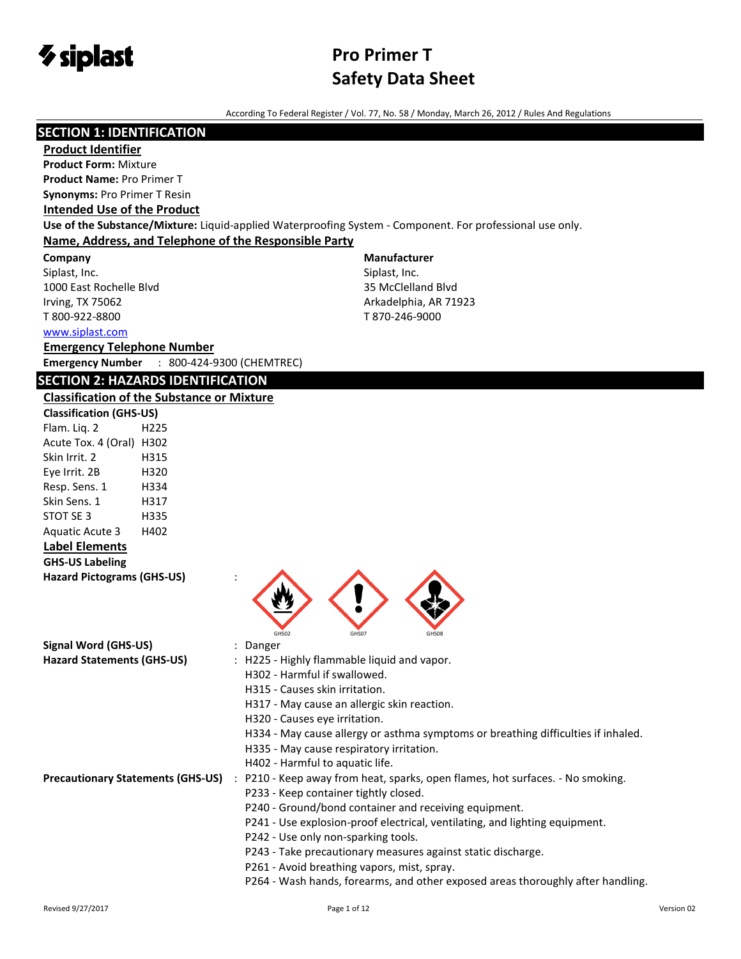

**Manufacturer** Siplast, Inc. 35 McClelland Blvd Arkadelphia, AR 71923 T 870-246-9000

According To Federal Register / Vol. 77, No. 58 / Monday, March 26, 2012 / Rules And Regulations

# **SECTION 1: IDENTIFICATION**

#### **Product Identifier**

**Product Form:** Mixture **Product Name:** Pro Primer T **Synonyms:** Pro Primer T Resin

## **Intended Use of the Product**

**Use of the Substance/Mixture:** Liquid-applied Waterproofing System - Component. For professional use only. **Name, Address, and Telephone of the Responsible Party**

**Company** 

Siplast, Inc. 1000 East Rochelle Blvd Irving, TX 75062 T 800-922-8800

#### [www.siplast.com](../../../../AppData/Local/Temp/www.siplast.com)

**Emergency Telephone Number Emergency Number** : 800-424-9300 (CHEMTREC)

# **SECTION 2: HAZARDS IDENTIFICATION**

**Classification of the Substance or Mixture**

| <b>Classification (GHS-US)</b>    |      |  |
|-----------------------------------|------|--|
| Flam. Lig. 2                      | H225 |  |
| Acute Tox. 4 (Oral) H302          |      |  |
| Skin Irrit. 2                     | H315 |  |
| Eye Irrit. 2B                     | H320 |  |
| Resp. Sens. 1                     | H334 |  |
| Skin Sens. 1                      | H317 |  |
| STOT SF 3                         | H335 |  |
| <b>Aguatic Acute 3</b>            | H402 |  |
| <b>Label Elements</b>             |      |  |
| <b>GHS-US Labeling</b>            |      |  |
| <b>Hazard Pictograms (GHS-US)</b> |      |  |

# GHS02 GHS07 GHS07 GHS08

**Signal Word (GHS-US)** : Danger

- 
- Hazard Statements (GHS-US) : H225 Highly flammable liquid and vapor.
	- H302 Harmful if swallowed.
	- H315 Causes skin irritation.
	- H317 May cause an allergic skin reaction.
	- H320 Causes eye irritation.
	- H334 May cause allergy or asthma symptoms or breathing difficulties if inhaled.
	- H335 May cause respiratory irritation.
	- H402 Harmful to aquatic life.
- **Precautionary Statements (GHS-US)** : P210 Keep away from heat, sparks, open flames, hot surfaces. No smoking.
	- P233 Keep container tightly closed.
	- P240 Ground/bond container and receiving equipment.
	- P241 Use explosion-proof electrical, ventilating, and lighting equipment.
	- P242 Use only non-sparking tools.
	- P243 Take precautionary measures against static discharge.
	- P261 Avoid breathing vapors, mist, spray.
	- P264 Wash hands, forearms, and other exposed areas thoroughly after handling.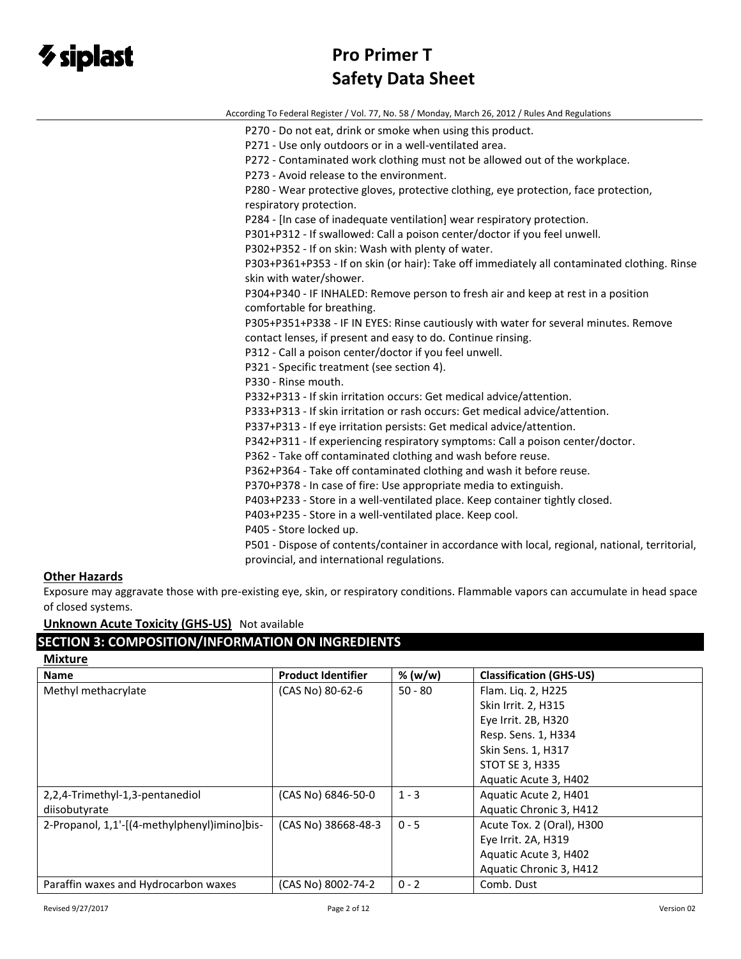| According To Federal Register / Vol. 77, No. 58 / Monday, March 26, 2012 / Rules And Regulations |
|--------------------------------------------------------------------------------------------------|
| P270 - Do not eat, drink or smoke when using this product.                                       |
| P271 - Use only outdoors or in a well-ventilated area.                                           |
| P272 - Contaminated work clothing must not be allowed out of the workplace.                      |
| P273 - Avoid release to the environment.                                                         |
| P280 - Wear protective gloves, protective clothing, eye protection, face protection,             |
| respiratory protection.                                                                          |
| P284 - [In case of inadequate ventilation] wear respiratory protection.                          |
| P301+P312 - If swallowed: Call a poison center/doctor if you feel unwell.                        |
| P302+P352 - If on skin: Wash with plenty of water.                                               |
| P303+P361+P353 - If on skin (or hair): Take off immediately all contaminated clothing. Rinse     |
| skin with water/shower.                                                                          |
| P304+P340 - IF INHALED: Remove person to fresh air and keep at rest in a position                |
| comfortable for breathing.                                                                       |
| P305+P351+P338 - IF IN EYES: Rinse cautiously with water for several minutes. Remove             |
| contact lenses, if present and easy to do. Continue rinsing.                                     |
| P312 - Call a poison center/doctor if you feel unwell.                                           |
| P321 - Specific treatment (see section 4).                                                       |
| P330 - Rinse mouth.                                                                              |
| P332+P313 - If skin irritation occurs: Get medical advice/attention.                             |
| P333+P313 - If skin irritation or rash occurs: Get medical advice/attention.                     |
| P337+P313 - If eye irritation persists: Get medical advice/attention.                            |
| P342+P311 - If experiencing respiratory symptoms: Call a poison center/doctor.                   |
| P362 - Take off contaminated clothing and wash before reuse.                                     |
| P362+P364 - Take off contaminated clothing and wash it before reuse.                             |
| P370+P378 - In case of fire: Use appropriate media to extinguish.                                |
| P403+P233 - Store in a well-ventilated place. Keep container tightly closed.                     |
| P403+P235 - Store in a well-ventilated place. Keep cool.                                         |
| P405 - Store locked up.                                                                          |
| P501 - Dispose of contents/container in accordance with local, regional, national, territorial,  |
| provincial, and international regulations.                                                       |

# **Other Hazards**

Exposure may aggravate those with pre-existing eye, skin, or respiratory conditions. Flammable vapors can accumulate in head space of closed systems.

# **Unknown Acute Toxicity (GHS-US)** Not available

# **SECTION 3: COMPOSITION/INFORMATION ON INGREDIENTS**

| <b>Mixture</b>                               |                           |           |                                |
|----------------------------------------------|---------------------------|-----------|--------------------------------|
| <b>Name</b>                                  | <b>Product Identifier</b> | % (w/w)   | <b>Classification (GHS-US)</b> |
| Methyl methacrylate                          | (CAS No) 80-62-6          | $50 - 80$ | Flam. Lig. 2, H225             |
|                                              |                           |           | Skin Irrit. 2, H315            |
|                                              |                           |           | Eye Irrit. 2B, H320            |
|                                              |                           |           | Resp. Sens. 1, H334            |
|                                              |                           |           | Skin Sens. 1, H317             |
|                                              |                           |           | <b>STOT SE 3, H335</b>         |
|                                              |                           |           | Aquatic Acute 3, H402          |
| 2,2,4-Trimethyl-1,3-pentanediol              | (CAS No) 6846-50-0        | $1 - 3$   | Aquatic Acute 2, H401          |
| diisobutyrate                                |                           |           | Aquatic Chronic 3, H412        |
| 2-Propanol, 1,1'-[(4-methylphenyl)imino]bis- | (CAS No) 38668-48-3       | $0 - 5$   | Acute Tox. 2 (Oral), H300      |
|                                              |                           |           | Eye Irrit. 2A, H319            |
|                                              |                           |           | Aquatic Acute 3, H402          |
|                                              |                           |           | Aquatic Chronic 3, H412        |
| Paraffin waxes and Hydrocarbon waxes         | (CAS No) 8002-74-2        | $0 - 2$   | Comb. Dust                     |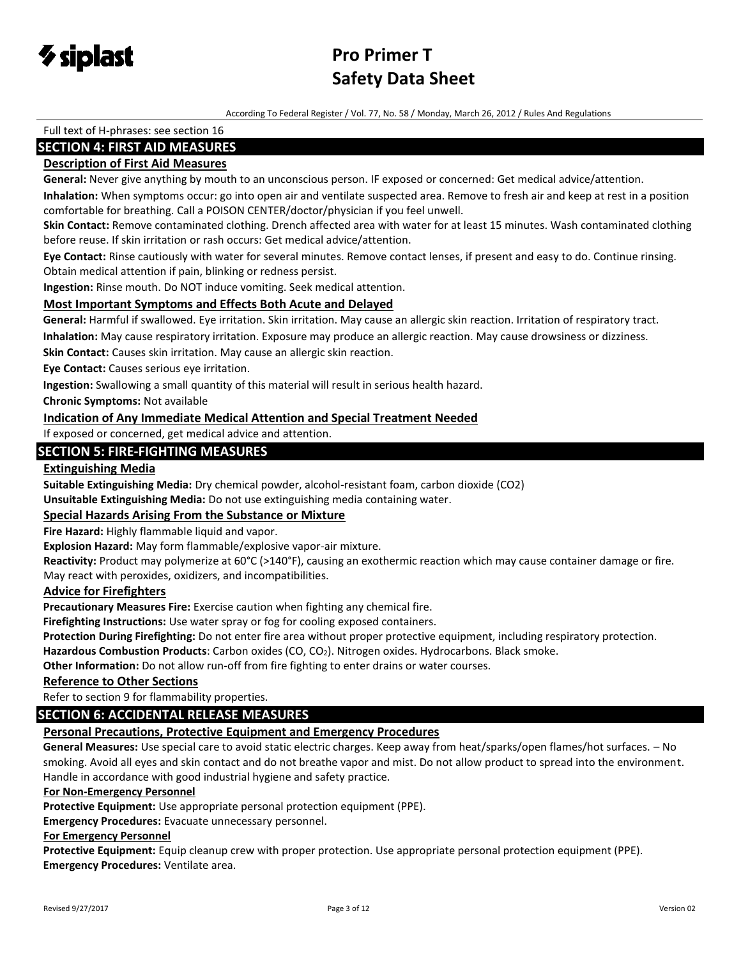

According To Federal Register / Vol. 77, No. 58 / Monday, March 26, 2012 / Rules And Regulations

# Full text of H-phrases: see section 16

# **SECTION 4: FIRST AID MEASURES**

#### **Description of First Aid Measures**

**General:** Never give anything by mouth to an unconscious person. IF exposed or concerned: Get medical advice/attention.

**Inhalation:** When symptoms occur: go into open air and ventilate suspected area. Remove to fresh air and keep at rest in a position comfortable for breathing. Call a POISON CENTER/doctor/physician if you feel unwell.

**Skin Contact:** Remove contaminated clothing. Drench affected area with water for at least 15 minutes. Wash contaminated clothing before reuse. If skin irritation or rash occurs: Get medical advice/attention.

**Eye Contact:** Rinse cautiously with water for several minutes. Remove contact lenses, if present and easy to do. Continue rinsing. Obtain medical attention if pain, blinking or redness persist.

**Ingestion:** Rinse mouth. Do NOT induce vomiting. Seek medical attention.

#### **Most Important Symptoms and Effects Both Acute and Delayed**

**General:** Harmful if swallowed. Eye irritation. Skin irritation. May cause an allergic skin reaction. Irritation of respiratory tract.

**Inhalation:** May cause respiratory irritation. Exposure may produce an allergic reaction. May cause drowsiness or dizziness.

**Skin Contact:** Causes skin irritation. May cause an allergic skin reaction.

**Eye Contact:** Causes serious eye irritation.

**Ingestion:** Swallowing a small quantity of this material will result in serious health hazard.

**Chronic Symptoms:** Not available

## **Indication of Any Immediate Medical Attention and Special Treatment Needed**

If exposed or concerned, get medical advice and attention.

## **SECTION 5: FIRE-FIGHTING MEASURES**

## **Extinguishing Media**

**Suitable Extinguishing Media:** Dry chemical powder, alcohol-resistant foam, carbon dioxide (CO2)

**Unsuitable Extinguishing Media:** Do not use extinguishing media containing water.

#### **Special Hazards Arising From the Substance or Mixture**

**Fire Hazard:** Highly flammable liquid and vapor.

**Explosion Hazard:** May form flammable/explosive vapor-air mixture.

**Reactivity:** Product may polymerize at 60°C (>140°F), causing an exothermic reaction which may cause container damage or fire. May react with peroxides, oxidizers, and incompatibilities.

#### **Advice for Firefighters**

**Precautionary Measures Fire:** Exercise caution when fighting any chemical fire.

**Firefighting Instructions:** Use water spray or fog for cooling exposed containers.

**Protection During Firefighting:** Do not enter fire area without proper protective equipment, including respiratory protection.

Hazardous Combustion Products: Carbon oxides (CO, CO<sub>2</sub>). Nitrogen oxides. Hydrocarbons. Black smoke.

**Other Information:** Do not allow run-off from fire fighting to enter drains or water courses.

**Reference to Other Sections**

Refer to section 9 for flammability properties.

#### **SECTION 6: ACCIDENTAL RELEASE MEASURES**

#### **Personal Precautions, Protective Equipment and Emergency Procedures**

**General Measures:** Use special care to avoid static electric charges. Keep away from heat/sparks/open flames/hot surfaces. – No smoking. Avoid all eyes and skin contact and do not breathe vapor and mist. Do not allow product to spread into the environment. Handle in accordance with good industrial hygiene and safety practice.

#### **For Non-Emergency Personnel**

**Protective Equipment:** Use appropriate personal protection equipment (PPE).

**Emergency Procedures:** Evacuate unnecessary personnel.

#### **For Emergency Personnel**

**Protective Equipment:** Equip cleanup crew with proper protection. Use appropriate personal protection equipment (PPE). **Emergency Procedures:** Ventilate area.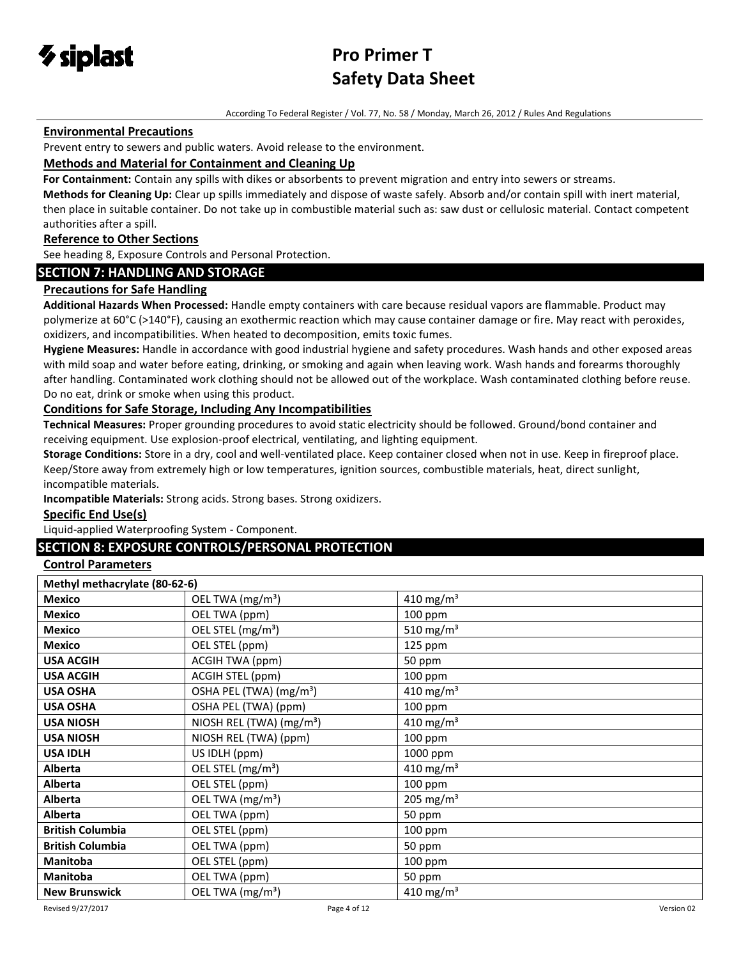

According To Federal Register / Vol. 77, No. 58 / Monday, March 26, 2012 / Rules And Regulations

#### **Environmental Precautions**

Prevent entry to sewers and public waters. Avoid release to the environment.

## **Methods and Material for Containment and Cleaning Up**

**For Containment:** Contain any spills with dikes or absorbents to prevent migration and entry into sewers or streams.

**Methods for Cleaning Up:** Clear up spills immediately and dispose of waste safely. Absorb and/or contain spill with inert material, then place in suitable container. Do not take up in combustible material such as: saw dust or cellulosic material. Contact competent authorities after a spill.

# **Reference to Other Sections**

See heading 8, Exposure Controls and Personal Protection.

## **SECTION 7: HANDLING AND STORAGE**

#### **Precautions for Safe Handling**

**Additional Hazards When Processed:** Handle empty containers with care because residual vapors are flammable. Product may polymerize at 60°C (>140°F), causing an exothermic reaction which may cause container damage or fire. May react with peroxides, oxidizers, and incompatibilities. When heated to decomposition, emits toxic fumes.

**Hygiene Measures:** Handle in accordance with good industrial hygiene and safety procedures. Wash hands and other exposed areas with mild soap and water before eating, drinking, or smoking and again when leaving work. Wash hands and forearms thoroughly after handling. Contaminated work clothing should not be allowed out of the workplace. Wash contaminated clothing before reuse. Do no eat, drink or smoke when using this product.

#### **Conditions for Safe Storage, Including Any Incompatibilities**

**Technical Measures:** Proper grounding procedures to avoid static electricity should be followed. Ground/bond container and receiving equipment. Use explosion-proof electrical, ventilating, and lighting equipment.

**Storage Conditions:** Store in a dry, cool and well-ventilated place. Keep container closed when not in use. Keep in fireproof place. Keep/Store away from extremely high or low temperatures, ignition sources, combustible materials, heat, direct sunlight, incompatible materials.

**Incompatible Materials:** Strong acids. Strong bases. Strong oxidizers.

#### **Specific End Use(s)**

Liquid-applied Waterproofing System - Component.

## **SECTION 8: EXPOSURE CONTROLS/PERSONAL PROTECTION**

#### **Control Parameters**

| Methyl methacrylate (80-62-6) |                                      |                         |
|-------------------------------|--------------------------------------|-------------------------|
| <b>Mexico</b>                 | OEL TWA (mg/m <sup>3</sup> )         | $410$ mg/m <sup>3</sup> |
| <b>Mexico</b>                 | OEL TWA (ppm)                        | $100$ ppm               |
| <b>Mexico</b>                 | OEL STEL (mg/m <sup>3</sup> )        | 510 mg/m <sup>3</sup>   |
| <b>Mexico</b>                 | OEL STEL (ppm)                       | 125 ppm                 |
| <b>USA ACGIH</b>              | ACGIH TWA (ppm)                      | 50 ppm                  |
| <b>USA ACGIH</b>              | ACGIH STEL (ppm)                     | 100 ppm                 |
| <b>USA OSHA</b>               | OSHA PEL (TWA) (mg/m <sup>3</sup> )  | 410 mg/m <sup>3</sup>   |
| <b>USA OSHA</b>               | OSHA PEL (TWA) (ppm)                 | $100$ ppm               |
| <b>USA NIOSH</b>              | NIOSH REL (TWA) (mg/m <sup>3</sup> ) | 410 mg/m <sup>3</sup>   |
| <b>USA NIOSH</b>              | NIOSH REL (TWA) (ppm)                | 100 ppm                 |
| <b>USA IDLH</b>               | US IDLH (ppm)                        | 1000 ppm                |
| Alberta                       | OEL STEL (mg/m <sup>3</sup> )        | 410 mg/m <sup>3</sup>   |
| Alberta                       | OEL STEL (ppm)                       | 100 ppm                 |
| <b>Alberta</b>                | OEL TWA (mg/m <sup>3</sup> )         | 205 mg/m <sup>3</sup>   |
| <b>Alberta</b>                | OEL TWA (ppm)                        | 50 ppm                  |
| <b>British Columbia</b>       | OEL STEL (ppm)                       | 100 ppm                 |
| <b>British Columbia</b>       | OEL TWA (ppm)                        | 50 ppm                  |
| <b>Manitoba</b>               | OEL STEL (ppm)                       | $100$ ppm               |
| <b>Manitoba</b>               | OEL TWA (ppm)                        | 50 ppm                  |
| <b>New Brunswick</b>          | OEL TWA (mg/m <sup>3</sup> )         | 410 mg/m <sup>3</sup>   |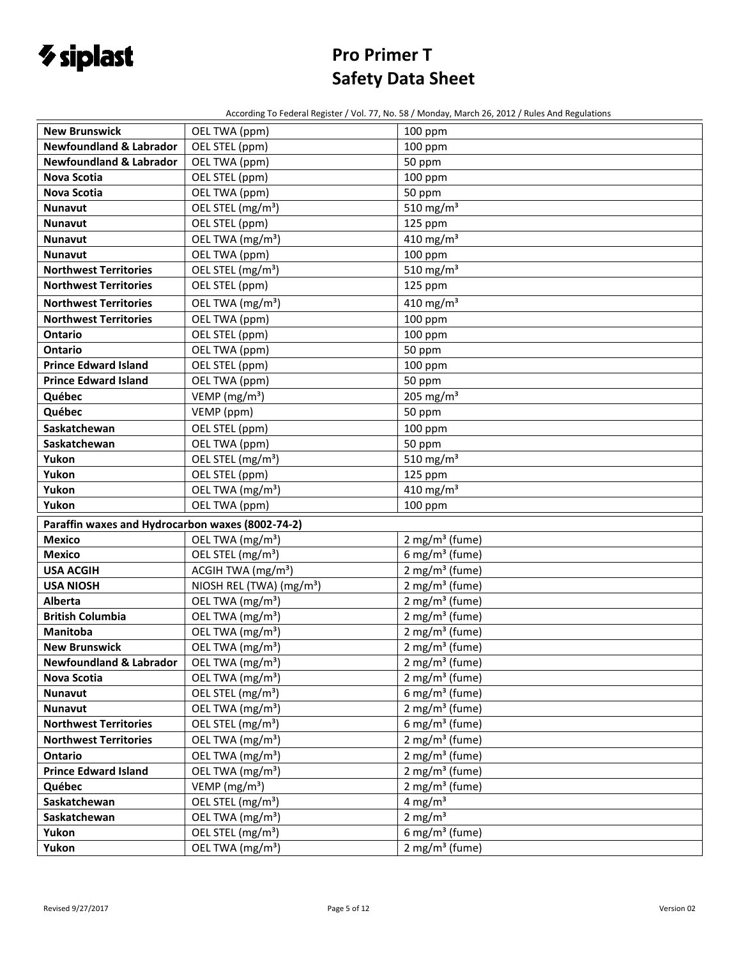

According To Federal Register / Vol. 77, No. 58 / Monday, March 26, 2012 / Rules And Regulations

| <b>New Brunswick</b>                             | OEL TWA (ppm)                             | 100 ppm                      |
|--------------------------------------------------|-------------------------------------------|------------------------------|
| <b>Newfoundland &amp; Labrador</b>               | OEL STEL (ppm)                            | 100 ppm                      |
| <b>Newfoundland &amp; Labrador</b>               | OEL TWA (ppm)                             | 50 ppm                       |
| <b>Nova Scotia</b>                               | OEL STEL (ppm)                            | 100 ppm                      |
| <b>Nova Scotia</b>                               | OEL TWA (ppm)                             | 50 ppm                       |
| <b>Nunavut</b>                                   | OEL STEL (mg/m <sup>3</sup> )             | 510 mg/m <sup>3</sup>        |
| <b>Nunavut</b>                                   | OEL STEL (ppm)                            | 125 ppm                      |
| <b>Nunavut</b>                                   | OEL TWA (mg/m <sup>3</sup> )              | 410 mg/m <sup>3</sup>        |
| <b>Nunavut</b>                                   | OEL TWA (ppm)                             | 100 ppm                      |
| <b>Northwest Territories</b>                     | OEL STEL (mg/m <sup>3</sup> )             | 510 mg/m $3$                 |
| <b>Northwest Territories</b>                     | OEL STEL (ppm)                            | 125 ppm                      |
|                                                  |                                           |                              |
| <b>Northwest Territories</b>                     | OEL TWA (mg/m <sup>3</sup> )              | 410 mg/m <sup>3</sup>        |
| <b>Northwest Territories</b>                     | OEL TWA (ppm)                             | 100 ppm                      |
| Ontario                                          | OEL STEL (ppm)                            | 100 ppm                      |
| <b>Ontario</b>                                   | OEL TWA (ppm)                             | 50 ppm                       |
| <b>Prince Edward Island</b>                      | OEL STEL (ppm)                            | 100 ppm                      |
| <b>Prince Edward Island</b>                      | OEL TWA (ppm)                             | 50 ppm                       |
| Québec                                           | VEMP (mg/m <sup>3</sup> )                 | 205 mg/m <sup>3</sup>        |
| Québec                                           | VEMP (ppm)                                | 50 ppm                       |
| Saskatchewan                                     | OEL STEL (ppm)                            | 100 ppm                      |
| Saskatchewan                                     | OEL TWA (ppm)                             | 50 ppm                       |
| Yukon                                            | OEL STEL (mg/m <sup>3</sup> )             | 510 mg/m $3$                 |
| Yukon                                            | OEL STEL (ppm)                            | 125 ppm                      |
| Yukon                                            | OEL TWA (mg/m <sup>3</sup> )              | 410 mg/m <sup>3</sup>        |
| Yukon                                            | OEL TWA (ppm)                             | 100 ppm                      |
| Paraffin waxes and Hydrocarbon waxes (8002-74-2) |                                           |                              |
| <b>Mexico</b>                                    | OEL TWA (mg/m <sup>3</sup> )              | $2$ mg/m <sup>3</sup> (fume) |
| <b>Mexico</b>                                    | OEL STEL (mg/m <sup>3</sup> )             | 6 mg/m <sup>3</sup> (fume)   |
| <b>USA ACGIH</b>                                 | ACGIH TWA (mg/m <sup>3</sup> )            | $2$ mg/m <sup>3</sup> (fume) |
| <b>USA NIOSH</b>                                 | NIOSH REL (TWA) (mg/m <sup>3</sup> )      | $2$ mg/m <sup>3</sup> (fume) |
| Alberta                                          | OEL TWA (mg/m <sup>3</sup> )              | $2$ mg/m <sup>3</sup> (fume) |
| <b>British Columbia</b>                          | OEL TWA (mg/m <sup>3</sup> )              | $2$ mg/m <sup>3</sup> (fume) |
| Manitoba                                         | $\overline{OEL}$ TWA (mg/m <sup>3</sup> ) | $2$ mg/m <sup>3</sup> (fume) |
| <b>New Brunswick</b>                             | OEL TWA (mg/m <sup>3</sup> )              | $2$ mg/m <sup>3</sup> (fume) |
| <b>Newfoundland &amp; Labrador</b>               | OEL TWA (mg/m <sup>3</sup> )              | $2$ mg/m <sup>3</sup> (fume) |
| <b>Nova Scotia</b>                               | OEL TWA (mg/m <sup>3</sup> )              | $2$ mg/m <sup>3</sup> (fume) |
| <b>Nunavut</b>                                   | OEL STEL (mg/m <sup>3</sup> )             | 6 mg/m <sup>3</sup> (fume)   |
| <b>Nunavut</b>                                   | OEL TWA (mg/m <sup>3</sup> )              | $2$ mg/m <sup>3</sup> (fume) |
| <b>Northwest Territories</b>                     | OEL STEL (mg/m <sup>3</sup> )             | 6 mg/m <sup>3</sup> (fume)   |
| <b>Northwest Territories</b>                     | OEL TWA (mg/m <sup>3</sup> )              | $2$ mg/m <sup>3</sup> (fume) |
| Ontario                                          | OEL TWA (mg/m <sup>3</sup> )              | $2$ mg/m <sup>3</sup> (fume) |
| <b>Prince Edward Island</b>                      | OEL TWA (mg/m <sup>3</sup> )              | $2$ mg/m <sup>3</sup> (fume) |
| Québec                                           | VEMP $(mg/m3)$                            | $2$ mg/m <sup>3</sup> (fume) |
| Saskatchewan                                     | OEL STEL (mg/m <sup>3</sup> )             | 4 mg/ $m3$                   |
| Saskatchewan                                     | OEL TWA (mg/m <sup>3</sup> )              | 2 mg/ $m3$                   |
| Yukon                                            | OEL STEL (mg/m <sup>3</sup> )             | 6 mg/m <sup>3</sup> (fume)   |
| Yukon                                            | OEL TWA (mg/m <sup>3</sup> )              | $2$ mg/m <sup>3</sup> (fume) |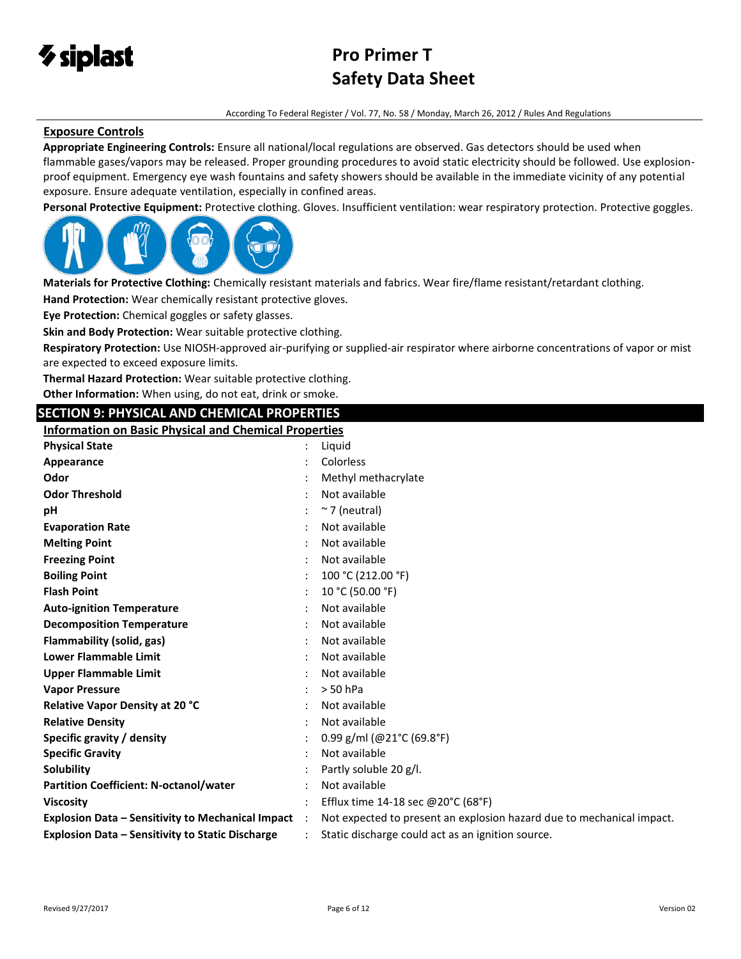

#### According To Federal Register / Vol. 77, No. 58 / Monday, March 26, 2012 / Rules And Regulations

## **Exposure Controls**

**Appropriate Engineering Controls:** Ensure all national/local regulations are observed. Gas detectors should be used when flammable gases/vapors may be released. Proper grounding procedures to avoid static electricity should be followed. Use explosionproof equipment. Emergency eye wash fountains and safety showers should be available in the immediate vicinity of any potential exposure. Ensure adequate ventilation, especially in confined areas.

**Personal Protective Equipment:** Protective clothing. Gloves. Insufficient ventilation: wear respiratory protection. Protective goggles.



**Materials for Protective Clothing:** Chemically resistant materials and fabrics. Wear fire/flame resistant/retardant clothing.

**Hand Protection:** Wear chemically resistant protective gloves.

**Eye Protection:** Chemical goggles or safety glasses.

**Skin and Body Protection:** Wear suitable protective clothing.

**Respiratory Protection:** Use NIOSH-approved air-purifying or supplied-air respirator where airborne concentrations of vapor or mist are expected to exceed exposure limits.

**Thermal Hazard Protection:** Wear suitable protective clothing.

**Other Information:** When using, do not eat, drink or smoke.

# **SECTION 9: PHYSICAL AND CHEMICAL PROPERTIES**

**Information on Basic Physical and Chemical Properties**

| <b>Physical State</b>                                    | Liquid                                                                |
|----------------------------------------------------------|-----------------------------------------------------------------------|
| Appearance                                               | Colorless                                                             |
| Odor                                                     | Methyl methacrylate                                                   |
| <b>Odor Threshold</b>                                    | Not available                                                         |
| pH                                                       | $~\sim$ 7 (neutral)                                                   |
| <b>Evaporation Rate</b>                                  | Not available                                                         |
| <b>Melting Point</b>                                     | Not available                                                         |
| <b>Freezing Point</b>                                    | Not available                                                         |
| <b>Boiling Point</b>                                     | 100 °C (212.00 °F)                                                    |
| <b>Flash Point</b>                                       | 10 °C (50.00 °F)                                                      |
| <b>Auto-ignition Temperature</b>                         | Not available                                                         |
| <b>Decomposition Temperature</b>                         | Not available                                                         |
| Flammability (solid, gas)                                | Not available                                                         |
| <b>Lower Flammable Limit</b>                             | Not available                                                         |
| <b>Upper Flammable Limit</b>                             | Not available                                                         |
| <b>Vapor Pressure</b>                                    | $> 50$ hPa                                                            |
| <b>Relative Vapor Density at 20 °C</b>                   | Not available                                                         |
| <b>Relative Density</b>                                  | Not available                                                         |
| Specific gravity / density                               | 0.99 g/ml (@21°C (69.8°F)                                             |
| <b>Specific Gravity</b>                                  | Not available                                                         |
| Solubility                                               | Partly soluble 20 g/l.                                                |
| <b>Partition Coefficient: N-octanol/water</b>            | Not available                                                         |
| <b>Viscosity</b>                                         | Efflux time 14-18 sec @20°C (68°F)                                    |
| <b>Explosion Data - Sensitivity to Mechanical Impact</b> | Not expected to present an explosion hazard due to mechanical impact. |
| <b>Explosion Data - Sensitivity to Static Discharge</b>  | Static discharge could act as an ignition source.                     |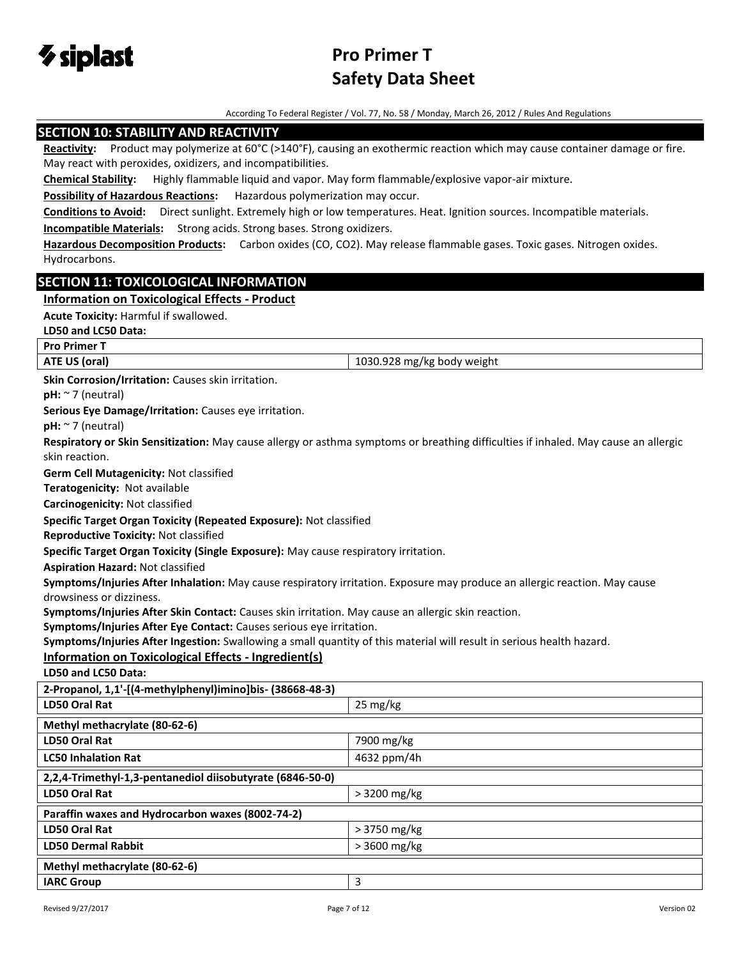

According To Federal Register / Vol. 77, No. 58 / Monday, March 26, 2012 / Rules And Regulations

## **SECTION 10: STABILITY AND REACTIVITY**

**Reactivity:** Product may polymerize at 60°C (>140°F), causing an exothermic reaction which may cause container damage or fire. May react with peroxides, oxidizers, and incompatibilities.

**Chemical Stability:** Highly flammable liquid and vapor. May form flammable/explosive vapor-air mixture.

**Possibility of Hazardous Reactions:** Hazardous polymerization may occur.

**Conditions to Avoid:** Direct sunlight. Extremely high or low temperatures. Heat. Ignition sources. Incompatible materials. **Incompatible Materials:** Strong acids. Strong bases. Strong oxidizers.

**Hazardous Decomposition Products:** Carbon oxides (CO, CO2). May release flammable gases. Toxic gases. Nitrogen oxides. Hydrocarbons.

# **SECTION 11: TOXICOLOGICAL INFORMATION**

#### **Information on Toxicological Effects - Product**

**Acute Toxicity:** Harmful if swallowed.

**LD50 and LC50 Data:**

**Pro Primer T**

**ATE US (oral)** 1030.928 mg/kg body weight

**Skin Corrosion/Irritation:** Causes skin irritation.

**pH:** ~ 7 (neutral)

**Serious Eye Damage/Irritation:** Causes eye irritation.

**pH:** ~ 7 (neutral)

**Respiratory or Skin Sensitization:** May cause allergy or asthma symptoms or breathing difficulties if inhaled. May cause an allergic skin reaction.

**Germ Cell Mutagenicity:** Not classified

**Teratogenicity:** Not available

**Carcinogenicity:** Not classified

**Specific Target Organ Toxicity (Repeated Exposure):** Not classified

**Reproductive Toxicity:** Not classified

**Specific Target Organ Toxicity (Single Exposure):** May cause respiratory irritation.

**Aspiration Hazard:** Not classified

**Symptoms/Injuries After Inhalation:** May cause respiratory irritation. Exposure may produce an allergic reaction. May cause drowsiness or dizziness.

**Symptoms/Injuries After Skin Contact:** Causes skin irritation. May cause an allergic skin reaction.

**Symptoms/Injuries After Eye Contact:** Causes serious eye irritation.

**Symptoms/Injuries After Ingestion:** Swallowing a small quantity of this material will result in serious health hazard.

#### **Information on Toxicological Effects - Ingredient(s)**

**LD50 and LC50 Data:**

**2-Propanol, 1,1'-[(4-methylphenyl)imino]bis- (38668-48-3)**

| . .<br>LD50 Oral Rat                                      | 25 mg/kg      |  |
|-----------------------------------------------------------|---------------|--|
| Methyl methacrylate (80-62-6)                             |               |  |
| <b>LD50 Oral Rat</b>                                      | 7900 mg/kg    |  |
| <b>LC50 Inhalation Rat</b>                                | 4632 ppm/4h   |  |
| 2,2,4-Trimethyl-1,3-pentanediol diisobutyrate (6846-50-0) |               |  |
| <b>LD50 Oral Rat</b>                                      | > 3200 mg/kg  |  |
| Paraffin waxes and Hydrocarbon waxes (8002-74-2)          |               |  |
| <b>LD50 Oral Rat</b>                                      | $>3750$ mg/kg |  |
| <b>LD50 Dermal Rabbit</b>                                 | $>3600$ mg/kg |  |
| Methyl methacrylate (80-62-6)                             |               |  |
| <b>IARC Group</b>                                         | 3             |  |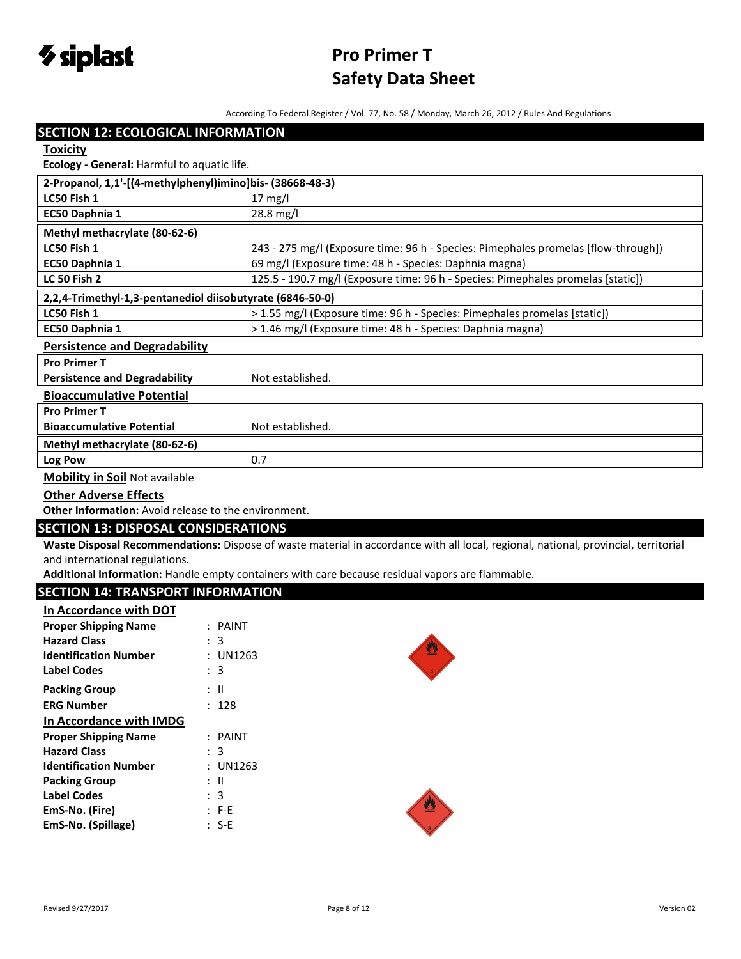

According To Federal Register / Vol. 77, No. 58 / Monday, March 26, 2012 / Rules And Regulations

| <b>SECTION 12: ECOLOGICAL INFORMATION</b>                 |                                                                                    |
|-----------------------------------------------------------|------------------------------------------------------------------------------------|
| <b>Toxicity</b>                                           |                                                                                    |
| Ecology - General: Harmful to aquatic life.               |                                                                                    |
| 2-Propanol, 1,1'-[(4-methylphenyl)imino]bis- (38668-48-3) |                                                                                    |
| LC50 Fish 1                                               | $17 \text{ mg/l}$                                                                  |
| EC50 Daphnia 1                                            | 28.8 mg/l                                                                          |
| Methyl methacrylate (80-62-6)                             |                                                                                    |
| LC50 Fish 1                                               | 243 - 275 mg/l (Exposure time: 96 h - Species: Pimephales promelas [flow-through]) |
| EC50 Daphnia 1                                            | 69 mg/l (Exposure time: 48 h - Species: Daphnia magna)                             |
| <b>LC 50 Fish 2</b>                                       | 125.5 - 190.7 mg/l (Exposure time: 96 h - Species: Pimephales promelas [static])   |
| 2,2,4-Trimethyl-1,3-pentanediol diisobutyrate (6846-50-0) |                                                                                    |
| LC50 Fish 1                                               | > 1.55 mg/l (Exposure time: 96 h - Species: Pimephales promelas [static])          |
| EC50 Daphnia 1                                            | > 1.46 mg/l (Exposure time: 48 h - Species: Daphnia magna)                         |
| <b>Persistence and Degradability</b>                      |                                                                                    |
| <b>Pro Primer T</b>                                       |                                                                                    |
| <b>Persistence and Degradability</b>                      | Not established.                                                                   |
| <b>Bioaccumulative Potential</b>                          |                                                                                    |
| <b>Pro Primer T</b>                                       |                                                                                    |
| <b>Bioaccumulative Potential</b>                          | Not established.                                                                   |
| Methyl methacrylate (80-62-6)                             |                                                                                    |
| Log Pow                                                   | 0.7                                                                                |
| <b>Mobility in Soil Not available</b>                     |                                                                                    |
| Athan Addition Fffects                                    |                                                                                    |

## **Other Adverse Effects**

**Other Information:** Avoid release to the environment.

# **SECTION 13: DISPOSAL CONSIDERATIONS**

**Waste Disposal Recommendations:** Dispose of waste material in accordance with all local, regional, national, provincial, territorial and international regulations.

**Additional Information:** Handle empty containers with care because residual vapors are flammable.

# **SECTION 14: TRANSPORT INFORMATION**

| $:$ PAINT |
|-----------|
| : 3       |
| UN1263    |
| : 3       |
| : II      |
| : 128     |
|           |
| $:$ PAINT |
| : 3       |
| UN1263    |
| : II      |
| : 3       |
| : F-E     |
| : S-E     |
|           |



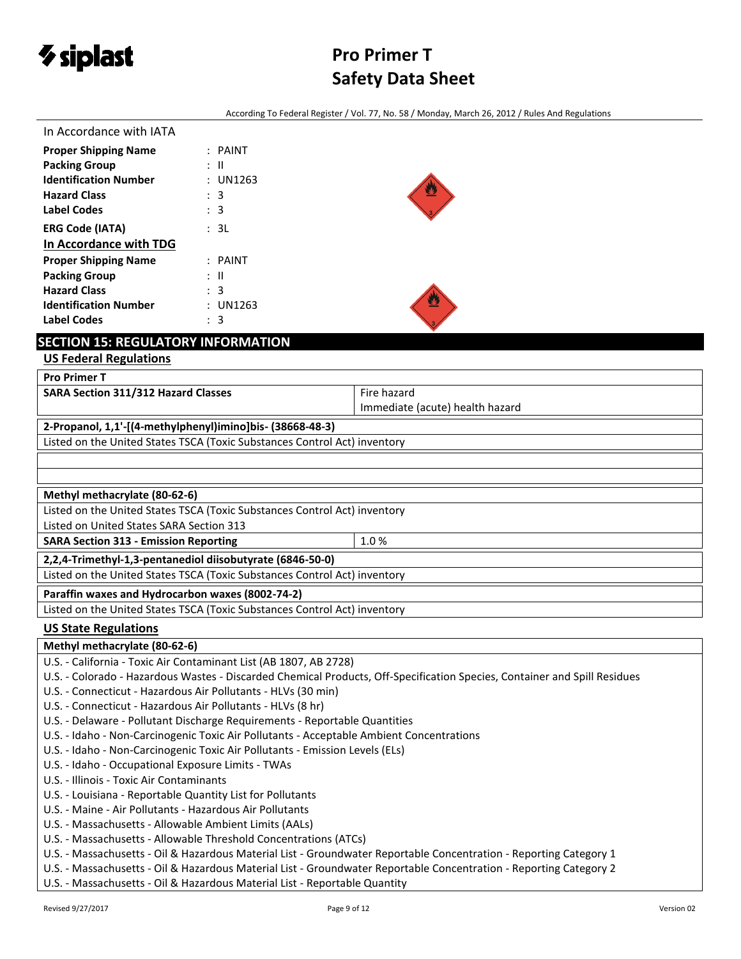

According To Federal Register / Vol. 77, No. 58 / Monday, March 26, 2012 / Rules And Regulations

| In Accordance with IATA      |                           |  |
|------------------------------|---------------------------|--|
| <b>Proper Shipping Name</b>  | $:$ PAINT                 |  |
| <b>Packing Group</b>         | : II                      |  |
| <b>Identification Number</b> | : UN1263                  |  |
| <b>Hazard Class</b>          | : 3                       |  |
| <b>Label Codes</b>           | : 3                       |  |
| <b>ERG Code (IATA)</b>       | : 3L                      |  |
| In Accordance with TDG       |                           |  |
| <b>Proper Shipping Name</b>  | $:$ PAINT                 |  |
| <b>Packing Group</b>         | : II                      |  |
| <b>Hazard Class</b>          | : 3                       |  |
| <b>Identification Number</b> | UN1263                    |  |
| <b>Label Codes</b>           | 3<br>$\ddot{\phantom{0}}$ |  |

# **SECTION 15: REGULATORY INFORMATION**

**US Federal Regulations**

| <b>Pro Primer T</b>                                                       |                                 |  |
|---------------------------------------------------------------------------|---------------------------------|--|
| SARA Section 311/312 Hazard Classes                                       | Fire hazard                     |  |
|                                                                           | Immediate (acute) health hazard |  |
| 2-Propanol, 1,1'-[(4-methylphenyl)imino]bis- (38668-48-3)                 |                                 |  |
| Listed on the United States TSCA (Toxic Substances Control Act) inventory |                                 |  |
|                                                                           |                                 |  |
|                                                                           |                                 |  |
| Methyl methacrylate (80-62-6)                                             |                                 |  |
| Listed on the United States TSCA (Toxic Substances Control Act) inventory |                                 |  |
| Listed on United States SARA Section 313                                  |                                 |  |
| 1.0%<br><b>SARA Section 313 - Emission Reporting</b>                      |                                 |  |
| 2,2,4-Trimethyl-1,3-pentanediol diisobutyrate (6846-50-0)                 |                                 |  |
| Listed on the United States TSCA (Toxic Substances Control Act) inventory |                                 |  |
| Paraffin waxes and Hydrocarbon waxes (8002-74-2)                          |                                 |  |
| Listed on the United States TSCA (Toxic Substances Control Act) inventory |                                 |  |

# **US State Regulations**

**Methyl methacrylate (80-62-6)**

- U.S. California Toxic Air Contaminant List (AB 1807, AB 2728)
- U.S. Colorado Hazardous Wastes Discarded Chemical Products, Off-Specification Species, Container and Spill Residues
- U.S. Connecticut Hazardous Air Pollutants HLVs (30 min)
- U.S. Connecticut Hazardous Air Pollutants HLVs (8 hr)
- U.S. Delaware Pollutant Discharge Requirements Reportable Quantities
- U.S. Idaho Non-Carcinogenic Toxic Air Pollutants Acceptable Ambient Concentrations
- U.S. Idaho Non-Carcinogenic Toxic Air Pollutants Emission Levels (ELs)
- U.S. Idaho Occupational Exposure Limits TWAs
- U.S. Illinois Toxic Air Contaminants
- U.S. Louisiana Reportable Quantity List for Pollutants
- U.S. Maine Air Pollutants Hazardous Air Pollutants
- U.S. Massachusetts Allowable Ambient Limits (AALs)
- U.S. Massachusetts Allowable Threshold Concentrations (ATCs)
- U.S. Massachusetts Oil & Hazardous Material List Groundwater Reportable Concentration Reporting Category 1
- U.S. Massachusetts Oil & Hazardous Material List Groundwater Reportable Concentration Reporting Category 2
- U.S. Massachusetts Oil & Hazardous Material List Reportable Quantity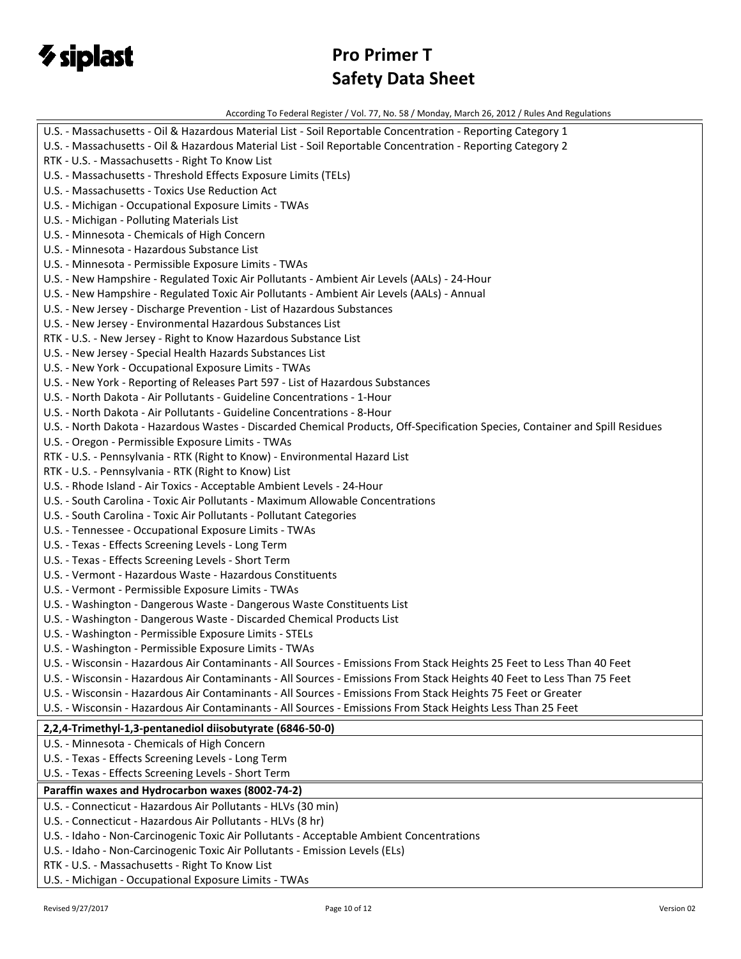

According To Federal Register / Vol. 77, No. 58 / Monday, March 26, 2012 / Rules And Regulations

| According To Federal Register / VOI. 77, NO. 36 / MONday, March 20, 2012 / Rules And Regulations                              |
|-------------------------------------------------------------------------------------------------------------------------------|
| U.S. - Massachusetts - Oil & Hazardous Material List - Soil Reportable Concentration - Reporting Category 1                   |
| U.S. - Massachusetts - Oil & Hazardous Material List - Soil Reportable Concentration - Reporting Category 2                   |
| RTK - U.S. - Massachusetts - Right To Know List                                                                               |
| U.S. - Massachusetts - Threshold Effects Exposure Limits (TELs)                                                               |
| U.S. - Massachusetts - Toxics Use Reduction Act                                                                               |
| U.S. - Michigan - Occupational Exposure Limits - TWAs                                                                         |
| U.S. - Michigan - Polluting Materials List                                                                                    |
| U.S. - Minnesota - Chemicals of High Concern                                                                                  |
| U.S. - Minnesota - Hazardous Substance List                                                                                   |
| U.S. - Minnesota - Permissible Exposure Limits - TWAs                                                                         |
| U.S. - New Hampshire - Regulated Toxic Air Pollutants - Ambient Air Levels (AALs) - 24-Hour                                   |
| U.S. - New Hampshire - Regulated Toxic Air Pollutants - Ambient Air Levels (AALs) - Annual                                    |
| U.S. - New Jersey - Discharge Prevention - List of Hazardous Substances                                                       |
| U.S. - New Jersey - Environmental Hazardous Substances List                                                                   |
| RTK - U.S. - New Jersey - Right to Know Hazardous Substance List                                                              |
| U.S. - New Jersey - Special Health Hazards Substances List                                                                    |
| U.S. - New York - Occupational Exposure Limits - TWAs                                                                         |
| U.S. - New York - Reporting of Releases Part 597 - List of Hazardous Substances                                               |
| U.S. - North Dakota - Air Pollutants - Guideline Concentrations - 1-Hour                                                      |
| U.S. - North Dakota - Air Pollutants - Guideline Concentrations - 8-Hour                                                      |
| U.S. - North Dakota - Hazardous Wastes - Discarded Chemical Products, Off-Specification Species, Container and Spill Residues |
| U.S. - Oregon - Permissible Exposure Limits - TWAs                                                                            |
| RTK - U.S. - Pennsylvania - RTK (Right to Know) - Environmental Hazard List                                                   |
| RTK - U.S. - Pennsylvania - RTK (Right to Know) List                                                                          |
| U.S. - Rhode Island - Air Toxics - Acceptable Ambient Levels - 24-Hour                                                        |
| U.S. - South Carolina - Toxic Air Pollutants - Maximum Allowable Concentrations                                               |
| U.S. - South Carolina - Toxic Air Pollutants - Pollutant Categories                                                           |
| U.S. - Tennessee - Occupational Exposure Limits - TWAs                                                                        |
| U.S. - Texas - Effects Screening Levels - Long Term                                                                           |
| U.S. - Texas - Effects Screening Levels - Short Term                                                                          |
| U.S. - Vermont - Hazardous Waste - Hazardous Constituents                                                                     |
| U.S. - Vermont - Permissible Exposure Limits - TWAs                                                                           |
| U.S. - Washington - Dangerous Waste - Dangerous Waste Constituents List                                                       |
| U.S. - Washington - Dangerous Waste - Discarded Chemical Products List                                                        |
| U.S. - Washington - Permissible Exposure Limits - STELs                                                                       |
| U.S. - Washington - Permissible Exposure Limits - TWAs                                                                        |
| U.S. - Wisconsin - Hazardous Air Contaminants - All Sources - Emissions From Stack Heights 25 Feet to Less Than 40 Feet       |
| U.S. - Wisconsin - Hazardous Air Contaminants - All Sources - Emissions From Stack Heights 40 Feet to Less Than 75 Feet       |
| U.S. - Wisconsin - Hazardous Air Contaminants - All Sources - Emissions From Stack Heights 75 Feet or Greater                 |
| U.S. - Wisconsin - Hazardous Air Contaminants - All Sources - Emissions From Stack Heights Less Than 25 Feet                  |
|                                                                                                                               |
| 2,2,4-Trimethyl-1,3-pentanediol diisobutyrate (6846-50-0)                                                                     |
| U.S. - Minnesota - Chemicals of High Concern                                                                                  |
| U.S. - Texas - Effects Screening Levels - Long Term                                                                           |
| U.S. - Texas - Effects Screening Levels - Short Term                                                                          |
| Paraffin waxes and Hydrocarbon waxes (8002-74-2)                                                                              |
| U.S. - Connecticut - Hazardous Air Pollutants - HLVs (30 min)                                                                 |
| U.S. - Connecticut - Hazardous Air Pollutants - HLVs (8 hr)                                                                   |
| U.S. - Idaho - Non-Carcinogenic Toxic Air Pollutants - Acceptable Ambient Concentrations                                      |
| U.S. - Idaho - Non-Carcinogenic Toxic Air Pollutants - Emission Levels (ELs)                                                  |
| RTK - U.S. - Massachusetts - Right To Know List                                                                               |

U.S. - Michigan - Occupational Exposure Limits - TWAs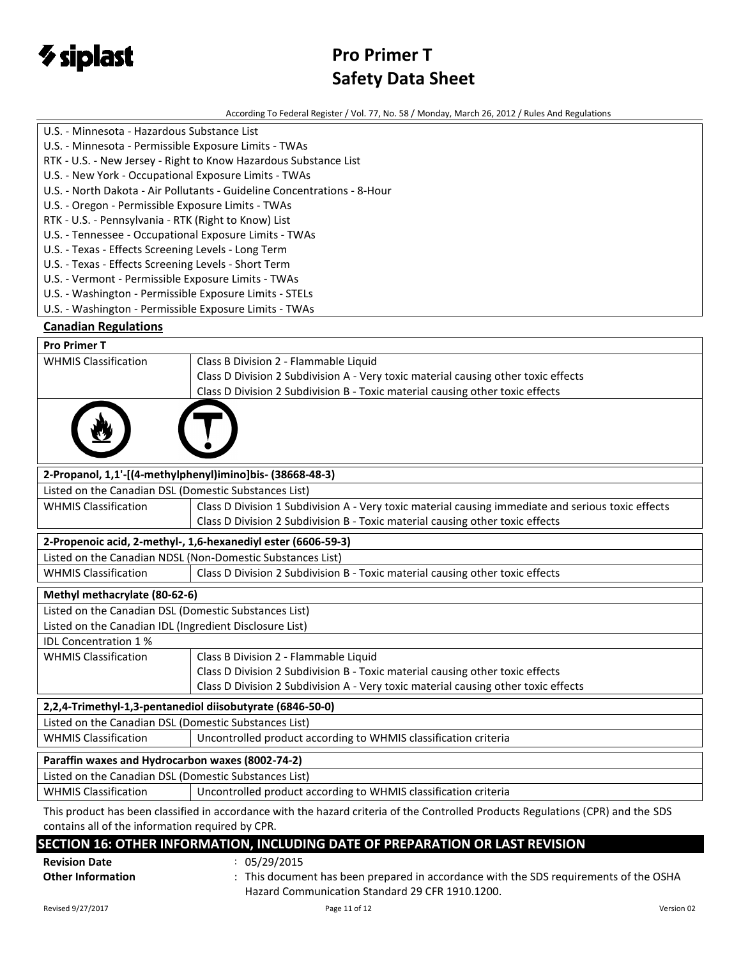

According To Federal Register / Vol. 77, No. 58 / Monday, March 26, 2012 / Rules And Regulations

#### U.S. - Minnesota - Hazardous Substance List

- U.S. Minnesota Permissible Exposure Limits TWAs
- RTK U.S. New Jersey Right to Know Hazardous Substance List
- U.S. New York Occupational Exposure Limits TWAs
- U.S. North Dakota Air Pollutants Guideline Concentrations 8-Hour
- U.S. Oregon Permissible Exposure Limits TWAs
- RTK U.S. Pennsylvania RTK (Right to Know) List
- U.S. Tennessee Occupational Exposure Limits TWAs
- U.S. Texas Effects Screening Levels Long Term
- U.S. Texas Effects Screening Levels Short Term
- U.S. Vermont Permissible Exposure Limits TWAs
- U.S. Washington Permissible Exposure Limits STELs
- U.S. Washington Permissible Exposure Limits TWAs

# **Canadian Regulations**

| <b>Pro Primer T</b>                                           |                                                                                                    |  |
|---------------------------------------------------------------|----------------------------------------------------------------------------------------------------|--|
| <b>WHMIS Classification</b>                                   | Class B Division 2 - Flammable Liquid                                                              |  |
|                                                               | Class D Division 2 Subdivision A - Very toxic material causing other toxic effects                 |  |
|                                                               | Class D Division 2 Subdivision B - Toxic material causing other toxic effects                      |  |
|                                                               |                                                                                                    |  |
| 2-Propanol, 1,1'-[(4-methylphenyl)imino]bis- (38668-48-3)     |                                                                                                    |  |
| Listed on the Canadian DSL (Domestic Substances List)         |                                                                                                    |  |
| <b>WHMIS Classification</b>                                   | Class D Division 1 Subdivision A - Very toxic material causing immediate and serious toxic effects |  |
|                                                               | Class D Division 2 Subdivision B - Toxic material causing other toxic effects                      |  |
| 2-Propenoic acid, 2-methyl-, 1,6-hexanediyl ester (6606-59-3) |                                                                                                    |  |
|                                                               | Listed on the Canadian NDSL (Non-Domestic Substances List)                                         |  |
| <b>WHMIS Classification</b>                                   | Class D Division 2 Subdivision B - Toxic material causing other toxic effects                      |  |
| Methyl methacrylate (80-62-6)                                 |                                                                                                    |  |
| Listed on the Canadian DSL (Domestic Substances List)         |                                                                                                    |  |
| Listed on the Canadian IDL (Ingredient Disclosure List)       |                                                                                                    |  |
| <b>IDL Concentration 1%</b>                                   |                                                                                                    |  |
| <b>WHMIS Classification</b>                                   | Class B Division 2 - Flammable Liquid                                                              |  |
|                                                               | Class D Division 2 Subdivision B - Toxic material causing other toxic effects                      |  |
|                                                               | Class D Division 2 Subdivision A - Very toxic material causing other toxic effects                 |  |
|                                                               |                                                                                                    |  |
|                                                               | 2,2,4-Trimethyl-1,3-pentanediol diisobutyrate (6846-50-0)                                          |  |
| Listed on the Canadian DSL (Domestic Substances List)         |                                                                                                    |  |
| <b>WHMIS Classification</b>                                   | Uncontrolled product according to WHMIS classification criteria                                    |  |
| Paraffin waxes and Hydrocarbon waxes (8002-74-2)              |                                                                                                    |  |
| Listed on the Canadian DSL (Domestic Substances List)         |                                                                                                    |  |
| <b>WHMIS Classification</b>                                   | Uncontrolled product according to WHMIS classification criteria                                    |  |

# **SECTION 16: OTHER INFORMATION, INCLUDING DATE OF PREPARATION OR LAST REVISION**

**Revision Date** : 05/29/2015

| <b>Revision Date</b> |  |
|----------------------|--|
| Other Information    |  |

**Other Information** : This document has been prepared in accordance with the SDS requirements of the OSHA Hazard Communication Standard 29 CFR 1910.1200.